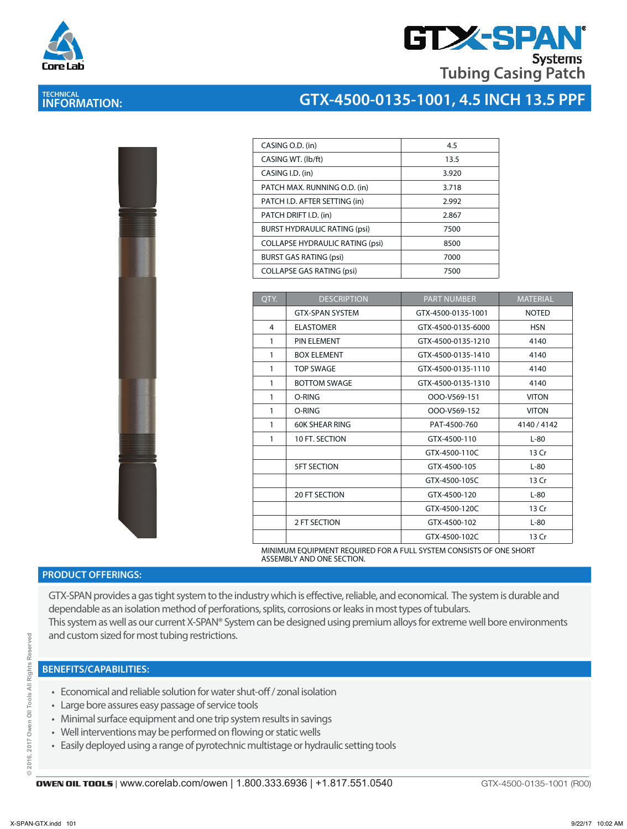

## **GTX-SPA Systems Tubing Casing Patch**

# **TECHNICAL INFORMATION:**

### **GTX-4500-0135-1001, 4.5 INCH 13.5 PPF**

| D |   |  |
|---|---|--|
|   |   |  |
|   |   |  |
|   | 1 |  |
|   |   |  |
|   |   |  |
|   |   |  |

| CASING O.D. (in)                       | 4.5   |
|----------------------------------------|-------|
| CASING WT. (lb/ft)                     | 13.5  |
| CASING I.D. (in)                       | 3.920 |
| PATCH MAX. RUNNING O.D. (in)           | 3.718 |
| PATCH I.D. AFTER SETTING (in)          | 2.992 |
| PATCH DRIFT I.D. (in)                  | 2.867 |
| <b>BURST HYDRAULIC RATING (psi)</b>    | 7500  |
| <b>COLLAPSE HYDRAULIC RATING (psi)</b> | 8500  |
| <b>BURST GAS RATING (psi)</b>          | 7000  |
| <b>COLLAPSE GAS RATING (psi)</b>       | 7500  |
|                                        |       |

| OTY. | <b>DESCRIPTION</b>     | <b>PART NUMBER</b> | <b>MATERIAL</b> |
|------|------------------------|--------------------|-----------------|
|      | <b>GTX-SPAN SYSTEM</b> | GTX-4500-0135-1001 | <b>NOTED</b>    |
| 4    | <b>ELASTOMER</b>       | GTX-4500-0135-6000 | <b>HSN</b>      |
| 1    | PIN ELEMENT            | GTX-4500-0135-1210 | 4140            |
| 1    | <b>BOX ELEMENT</b>     | GTX-4500-0135-1410 | 4140            |
| 1    | <b>TOP SWAGE</b>       | GTX-4500-0135-1110 | 4140            |
| 1    | <b>BOTTOM SWAGE</b>    | GTX-4500-0135-1310 | 4140            |
| 1    | O-RING                 | OOO-V569-151       | <b>VITON</b>    |
| 1    | O-RING                 | OOO-V569-152       | <b>VITON</b>    |
| 1    | <b>60K SHEAR RING</b>  | PAT-4500-760       | 4140/4142       |
| 1    | 10 FT. SECTION         | GTX-4500-110       | $L-80$          |
|      |                        | GTX-4500-110C      | 13 Cr           |
|      | <b>5FT SECTION</b>     | GTX-4500-105       | $L-80$          |
|      |                        | GTX-4500-105C      | 13 Cr           |
|      | <b>20 FT SECTION</b>   | GTX-4500-120       | $L-80$          |
|      |                        | GTX-4500-120C      | 13 Cr           |
|      | 2 FT SECTION           | GTX-4500-102       | $L-80$          |
|      |                        | GTX-4500-102C      | 13 Cr           |

MINIMUM EQUIPMENT REQUIRED FOR A FULL SYSTEM CONSISTS OF ONE SHORT ASSEMBLY AND ONE SECTION.

#### **PRODUCT OFFERINGS:**

GTX-SPAN provides a gas tight system to the industry which is effective, reliable, and economical. The system is durable and dependable as an isolation method of perforations, splits, corrosions or leaks in most types of tubulars. This system as well as our current X-SPAN® System can be designed using premium alloys for extreme well bore environments and custom sized for most tubing restrictions.

#### **BENEFITS/CAPABILITIES:**

- Economical and reliable solution for water shut-off / zonal isolation
- Large bore assures easy passage of service tools
- Minimal surface equipment and one trip system results in savings
- Well interventions may be performed on flowing or static wells
- Easily deployed using a range of pyrotechnic multistage or hydraulic setting tools

GTX-4500-0135-1001 (R00)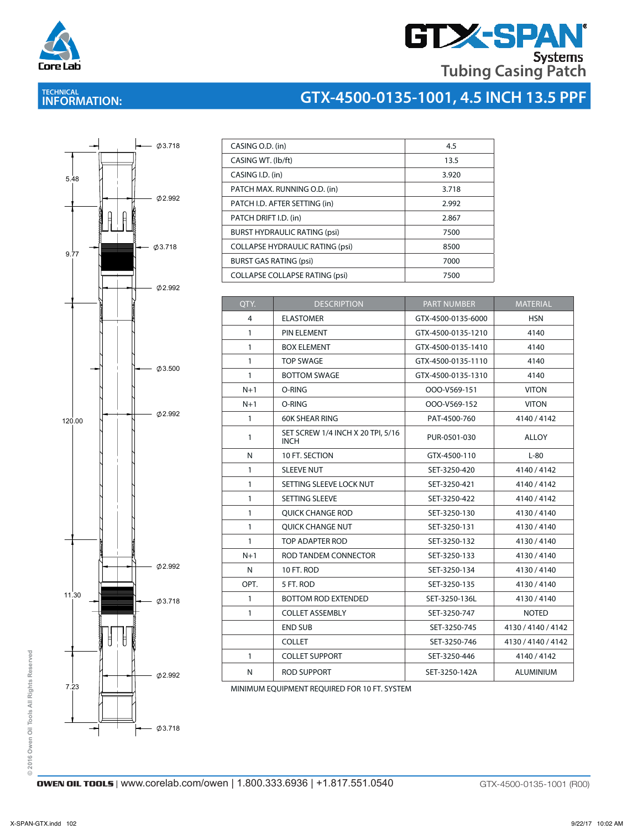

# **GTX-SPAN Tubing Casing Patch**

# **TECHNICAL INFORMATION:**

# **GTX-4500-0135-1001, 4.5 INCH 13.5 PPF**



| 4.5   |
|-------|
| 13.5  |
| 3.920 |
| 3.718 |
| 2.992 |
| 2.867 |
| 7500  |
| 8500  |
| 7000  |
| 7500  |
|       |

CASING WITH WITH WITH THE RESIDENCE OF THE RESIDENCE OF THE RESIDENCE OF THE RESIDENCE OF THE RESIDENCE OF THE

| QTY.           | <b>DESCRIPTION</b>                               | <b>PART NUMBER</b> | <b>MATERIAL</b>    |
|----------------|--------------------------------------------------|--------------------|--------------------|
| $\overline{4}$ | <b>ELASTOMER</b>                                 | GTX-4500-0135-6000 | <b>HSN</b>         |
| $\mathbf{1}$   | PIN ELEMENT                                      | GTX-4500-0135-1210 | 4140               |
| $\mathbf{1}$   | <b>BOX ELEMENT</b>                               | GTX-4500-0135-1410 | 4140               |
| $\mathbf{1}$   | <b>TOP SWAGE</b>                                 | GTX-4500-0135-1110 | 4140               |
| $\mathbf{1}$   | <b>BOTTOM SWAGE</b>                              | GTX-4500-0135-1310 | 4140               |
| $N+1$          | O-RING                                           | OOO-V569-151       | <b>VITON</b>       |
| $N+1$          | O-RING                                           | OOO-V569-152       | <b>VITON</b>       |
| $\mathbf{1}$   | <b>60K SHEAR RING</b>                            | PAT-4500-760       | 4140/4142          |
| $\mathbf{1}$   | SET SCREW 1/4 INCH X 20 TPI, 5/16<br><b>INCH</b> | PUR-0501-030       | <b>ALLOY</b>       |
| N              | 10 FT. SECTION                                   | GTX-4500-110       | $L-80$             |
| $\mathbf{1}$   | <b>SLEEVE NUT</b>                                | SET-3250-420       | 4140/4142          |
| $\mathbf{1}$   | SETTING SLEEVE LOCK NUT                          | SET-3250-421       | 4140/4142          |
| 1              | SETTING SLEEVE                                   | SET-3250-422       | 4140/4142          |
| $\mathbf{1}$   | <b>OUICK CHANGE ROD</b>                          | SET-3250-130       | 4130/4140          |
| $\mathbf{1}$   | <b>OUICK CHANGE NUT</b>                          | SET-3250-131       | 4130/4140          |
| $\mathbf{1}$   | TOP ADAPTER ROD                                  | SET-3250-132       | 4130/4140          |
| $N+1$          | ROD TANDEM CONNECTOR                             | SET-3250-133       | 4130/4140          |
| N              | 10 FT. ROD                                       | SET-3250-134       | 4130/4140          |
| OPT.           | 5 FT. ROD                                        | SET-3250-135       | 4130/4140          |
| 1              | <b>BOTTOM ROD EXTENDED</b>                       | SET-3250-136L      | 4130/4140          |
| $\mathbf{1}$   | <b>COLLET ASSEMBLY</b>                           | SET-3250-747       | <b>NOTED</b>       |
|                | <b>END SUB</b>                                   | SET-3250-745       | 4130 / 4140 / 4142 |
|                | <b>COLLET</b>                                    | SET-3250-746       | 4130 / 4140 / 4142 |
| $\mathbf{1}$   | <b>COLLET SUPPORT</b>                            | SET-3250-446       | 4140/4142          |
| N              | <b>ROD SUPPORT</b>                               | SET-3250-142A      | <b>ALUMINIUM</b>   |

MINIMUM EQUIPMENT REQUIRED FOR 10 FT. SYSTEM

© 2016 Owen Oil Tools All Rights Reserved **© 2016 Owen Oil Tools All Rights Reserved**